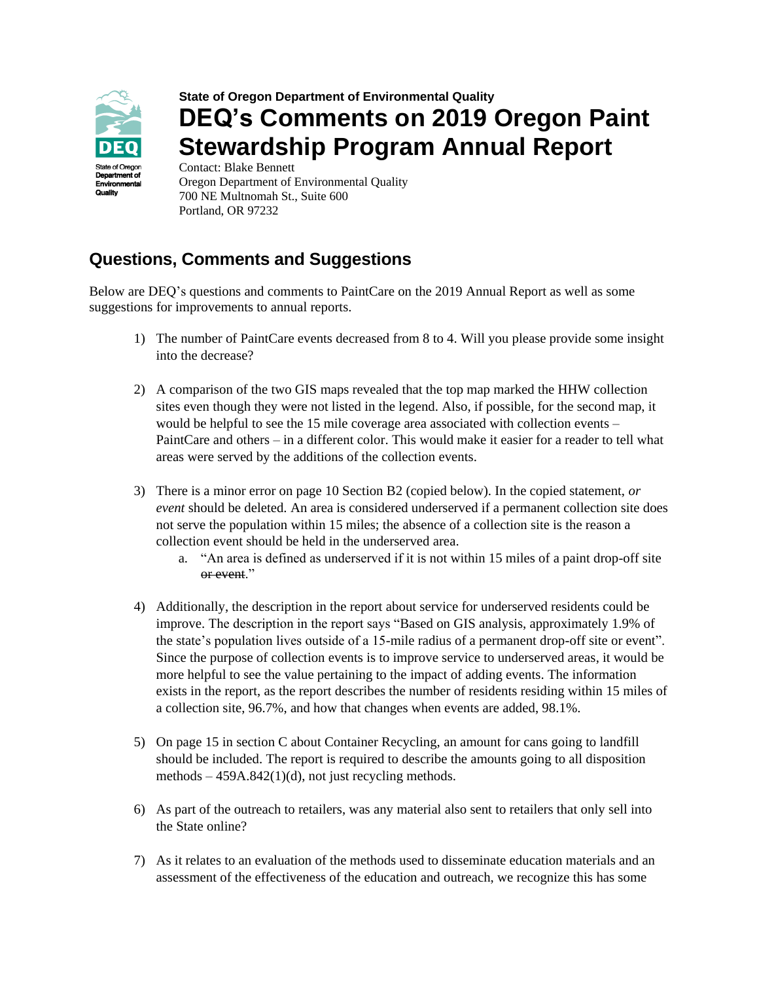

## **State of Oregon Department of Environmental Quality DEQ's Comments on 2019 Oregon Paint Stewardship Program Annual Report** Contact: Blake Bennett

Oregon Department of Environmental Quality 700 NE Multnomah St., Suite 600 Portland, OR 97232

## **Questions, Comments and Suggestions**

Below are DEQ's questions and comments to PaintCare on the 2019 Annual Report as well as some suggestions for improvements to annual reports.

- 1) The number of PaintCare events decreased from 8 to 4. Will you please provide some insight into the decrease?
- 2) A comparison of the two GIS maps revealed that the top map marked the HHW collection sites even though they were not listed in the legend. Also, if possible, for the second map, it would be helpful to see the 15 mile coverage area associated with collection events – PaintCare and others – in a different color. This would make it easier for a reader to tell what areas were served by the additions of the collection events.
- 3) There is a minor error on page 10 Section B2 (copied below). In the copied statement, *or event* should be deleted. An area is considered underserved if a permanent collection site does not serve the population within 15 miles; the absence of a collection site is the reason a collection event should be held in the underserved area.
	- a. "An area is defined as underserved if it is not within 15 miles of a paint drop-off site or event."
- 4) Additionally, the description in the report about service for underserved residents could be improve. The description in the report says "Based on GIS analysis, approximately 1.9% of the state's population lives outside of a 15-mile radius of a permanent drop-off site or event". Since the purpose of collection events is to improve service to underserved areas, it would be more helpful to see the value pertaining to the impact of adding events. The information exists in the report, as the report describes the number of residents residing within 15 miles of a collection site, 96.7%, and how that changes when events are added, 98.1%.
- 5) On page 15 in section C about Container Recycling, an amount for cans going to landfill should be included. The report is required to describe the amounts going to all disposition methods – 459A.842(1)(d), not just recycling methods.
- 6) As part of the outreach to retailers, was any material also sent to retailers that only sell into the State online?
- 7) As it relates to an evaluation of the methods used to disseminate education materials and an assessment of the effectiveness of the education and outreach, we recognize this has some